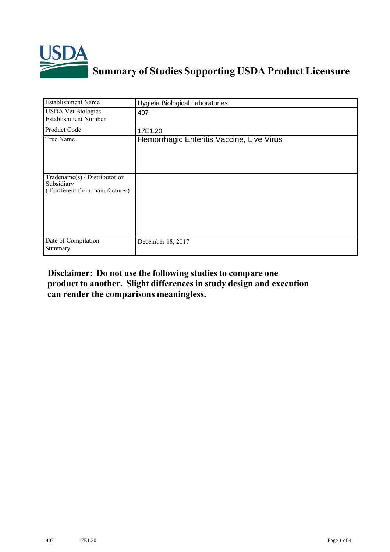

## **Summary of Studies Supporting USDA Product Licensure**

| <b>Establishment Name</b>                                                       | Hygieia Biological Laboratories           |
|---------------------------------------------------------------------------------|-------------------------------------------|
| <b>USDA Vet Biologics</b><br><b>Establishment Number</b>                        | 407                                       |
| <b>Product Code</b>                                                             | 17E1.20                                   |
| True Name                                                                       | Hemorrhagic Enteritis Vaccine, Live Virus |
| Tradename(s) / Distributor or<br>Subsidiary<br>(if different from manufacturer) |                                           |
| Date of Compilation<br>Summary                                                  | December 18, 2017                         |

## **Disclaimer: Do not use the following studiesto compare one product to another. Slight differencesin study design and execution can render the comparisons meaningless.**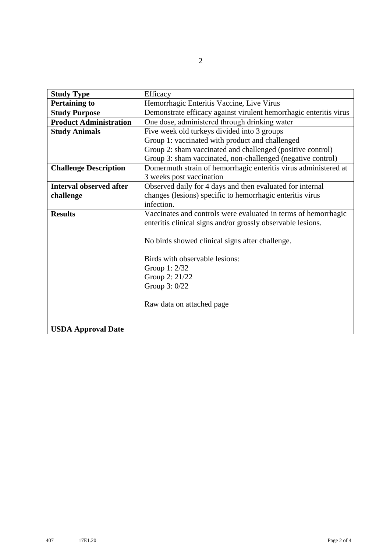| <b>Study Type</b>              | Efficacy                                                          |  |  |  |  |  |  |
|--------------------------------|-------------------------------------------------------------------|--|--|--|--|--|--|
| <b>Pertaining to</b>           | Hemorrhagic Enteritis Vaccine, Live Virus                         |  |  |  |  |  |  |
| <b>Study Purpose</b>           | Demonstrate efficacy against virulent hemorrhagic enteritis virus |  |  |  |  |  |  |
| <b>Product Administration</b>  | One dose, administered through drinking water                     |  |  |  |  |  |  |
| <b>Study Animals</b>           | Five week old turkeys divided into 3 groups                       |  |  |  |  |  |  |
|                                | Group 1: vaccinated with product and challenged                   |  |  |  |  |  |  |
|                                | Group 2: sham vaccinated and challenged (positive control)        |  |  |  |  |  |  |
|                                | Group 3: sham vaccinated, non-challenged (negative control)       |  |  |  |  |  |  |
| <b>Challenge Description</b>   | Domermuth strain of hemorrhagic enteritis virus administered at   |  |  |  |  |  |  |
|                                | 3 weeks post vaccination                                          |  |  |  |  |  |  |
| <b>Interval observed after</b> | Observed daily for 4 days and then evaluated for internal         |  |  |  |  |  |  |
| challenge                      | changes (lesions) specific to hemorrhagic enteritis virus         |  |  |  |  |  |  |
|                                | infection.                                                        |  |  |  |  |  |  |
| <b>Results</b>                 | Vaccinates and controls were evaluated in terms of hemorrhagic    |  |  |  |  |  |  |
|                                | enteritis clinical signs and/or grossly observable lesions.       |  |  |  |  |  |  |
|                                |                                                                   |  |  |  |  |  |  |
|                                | No birds showed clinical signs after challenge.                   |  |  |  |  |  |  |
|                                |                                                                   |  |  |  |  |  |  |
|                                | Birds with observable lesions:                                    |  |  |  |  |  |  |
|                                | Group 1: 2/32                                                     |  |  |  |  |  |  |
|                                | Group 2: 21/22                                                    |  |  |  |  |  |  |
|                                | Group 3: 0/22                                                     |  |  |  |  |  |  |
|                                |                                                                   |  |  |  |  |  |  |
|                                | Raw data on attached page                                         |  |  |  |  |  |  |
|                                |                                                                   |  |  |  |  |  |  |
|                                |                                                                   |  |  |  |  |  |  |
| <b>USDA Approval Date</b>      |                                                                   |  |  |  |  |  |  |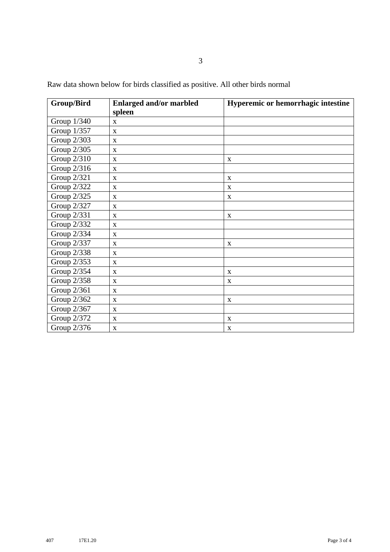| <b>Group/Bird</b> | <b>Enlarged and/or marbled</b> | Hyperemic or hemorrhagic intestine |
|-------------------|--------------------------------|------------------------------------|
|                   | spleen                         |                                    |
| Group 1/340       | X                              |                                    |
| Group 1/357       | $\mathbf{X}$                   |                                    |
| Group 2/303       | X                              |                                    |
| Group 2/305       | $\mathbf X$                    |                                    |
| Group $2/310$     | X                              | $\mathbf X$                        |
| Group 2/316       | $\mathbf X$                    |                                    |
| Group 2/321       | $\mathbf X$                    | $\mathbf X$                        |
| Group 2/322       | X                              | $\mathbf X$                        |
| Group 2/325       | X                              | $\mathbf X$                        |
| Group 2/327       | X                              |                                    |
| Group 2/331       | $\mathbf X$                    | $\mathbf X$                        |
| Group 2/332       | $\mathbf X$                    |                                    |
| Group 2/334       | $\mathbf{x}$                   |                                    |
| Group 2/337       | X                              | $\mathbf X$                        |
| Group 2/338       | X                              |                                    |
| Group 2/353       | X                              |                                    |
| Group 2/354       | $\mathbf{X}$                   | $\mathbf{X}$                       |
| Group 2/358       | $\mathbf{X}$                   | X                                  |
| Group 2/361       | X                              |                                    |
| Group 2/362       | X                              | X                                  |
| Group 2/367       | X                              |                                    |
| Group 2/372       | X                              | $\mathbf X$                        |
| Group 2/376       | $\mathbf X$                    | $\mathbf X$                        |

Raw data shown below for birds classified as positive. All other birds normal